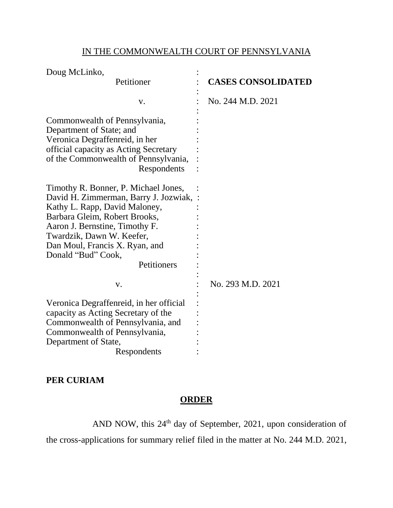## IN THE COMMONWEALTH COURT OF PENNSYLVANIA

| Doug McLinko,                           |                           |
|-----------------------------------------|---------------------------|
| Petitioner                              | <b>CASES CONSOLIDATED</b> |
| V.                                      | No. 244 M.D. 2021         |
| Commonwealth of Pennsylvania,           |                           |
| Department of State; and                |                           |
| Veronica Degraffenreid, in her          |                           |
| official capacity as Acting Secretary   |                           |
| of the Commonwealth of Pennsylvania,    |                           |
| Respondents                             |                           |
| Timothy R. Bonner, P. Michael Jones,    |                           |
| David H. Zimmerman, Barry J. Jozwiak, : |                           |
| Kathy L. Rapp, David Maloney,           |                           |
| Barbara Gleim, Robert Brooks,           |                           |
| Aaron J. Bernstine, Timothy F.          |                           |
| Twardzik, Dawn W. Keefer,               |                           |
| Dan Moul, Francis X. Ryan, and          |                           |
| Donald "Bud" Cook,                      |                           |
| Petitioners                             |                           |
|                                         |                           |
| V.                                      | No. 293 M.D. 2021         |
| Veronica Degraffenreid, in her official |                           |
| capacity as Acting Secretary of the     |                           |
| Commonwealth of Pennsylvania, and       |                           |
| Commonwealth of Pennsylvania,           |                           |
| Department of State,                    |                           |
| Respondents                             |                           |

## **PER CURIAM**

## **ORDER**

AND NOW, this 24th day of September, 2021, upon consideration of

the cross-applications for summary relief filed in the matter at No. 244 M.D. 2021,